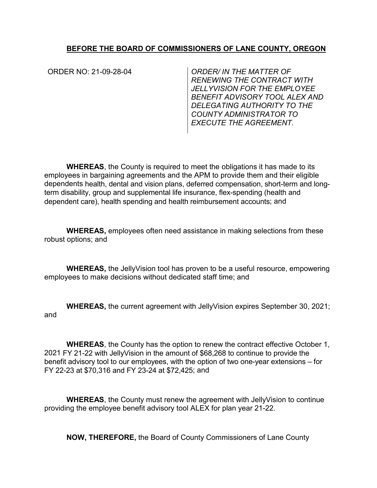## **BEFORE THE BOARD OF COMMISSIONERS OF LANE COUNTY, OREGON**

ORDER NO: 21-09-28-04- *ORDER/ IN THE MATTER OF RENEWING THE CONTRACT WITH JELLYVISION FOR THE EMPLOYEE BENEFIT ADVISORY TOOL ALEX AND DELEGATING AUTHORITY TO THE COUNTY ADMINISTRATOR TO EXECUTE THE AGREEMENT.* 

**WHEREAS**, the County is required to meet the obligations it has made to its employees in bargaining agreements and the APM to provide them and their eligible dependents health, dental and vision plans, deferred compensation, short-term and longterm disability, group and supplemental life insurance, flex-spending (health and dependent care), health spending and health reimbursement accounts; and

**WHEREAS,** employees often need assistance in making selections from these robust options; and

**WHEREAS,** the JellyVision tool has proven to be a useful resource, empowering employees to make decisions without dedicated staff time; and

**WHEREAS,** the current agreement with JellyVision expires September 30, 2021; and

**WHEREAS**, the County has the option to renew the contract effective October 1, 2021 FY 21-22 with JellyVision in the amount of \$68,268 to continue to provide the benefit advisory tool to our employees, with the option of two one-year extensions – for FY 22-23 at \$70,316 and FY 23-24 at \$72,425; and

**WHEREAS**, the County must renew the agreement with JellyVision to continue providing the employee benefit advisory tool ALEX for plan year 21-22.

**NOW, THEREFORE,** the Board of County Commissioners of Lane County